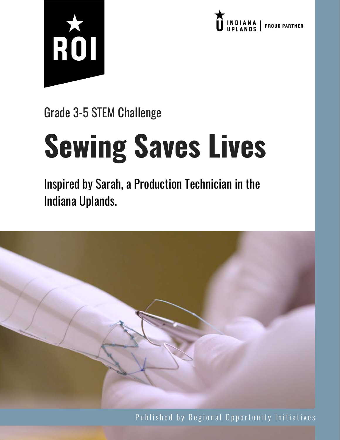



Grade 3-5 STEM Challenge

# **Sewing Saves Lives**

Inspired by Sarah, a Production Technician in the Indiana Uplands.



Published by Regional Opportunity Initiatives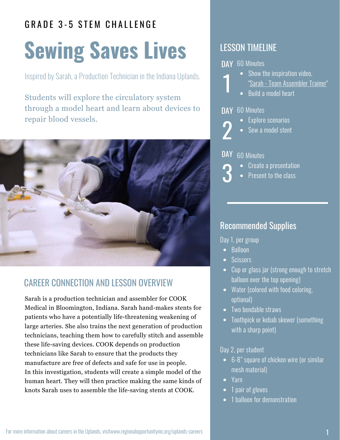### GRADE 3-5 STEM CHALLENGE

## **Sewing Saves Lives**

Inspired by Sarah, a Production Technician in the Indiana Uplands.

Students will explore the circulatory system through a model heart and learn about devices to repair blood vessels.



### CAREER CONNECTION AND LESSON OVERVIEW

Sarah is a production technician and assembler for COOK Medical in Bloomington, Indiana. Sarah hand-makes stents for patients who have a potentially life-threatening weakening of large arteries. She also trains the next generation of production technicians, teaching them how to carefully stitch and assemble these life-saving devices. COOK depends on production technicians like Sarah to ensure that the products they manufacture are free of defects and safe for use in people. In this investigation, students will create a simple model of the human heart. They will then practice making the same kinds of knots Sarah uses to assemble the life-saving stents at COOK.

#### LESSON TIMELINE

DAY 60 Minutes

- Show the inspiration video, "[Sarah - Team Assembler Trainer"](http://www.regionalopportunityinc.org/sarah/)
- Build a model heart

#### DAY 60 Minutes

- Explore scenarios 2
	- Sew a model stent



3

1

- 60 Minutes
	- Create a presentation
	- Present to the class

#### Recommended Supplies

Day 1, per group

- Balloon
- Scissors
- Cup or glass jar (strong enough to stretch balloon over the top opening)
- Water (colored with food coloring, optional)
- Two bendable straws
- Toothpick or kebab skewer (something with a sharp point)

#### Day 2, per student

- 6-8" square of chicken wire (or similar mesh material)
- Yarn
- 1 pair of gloves
- 1 balloon for demonstration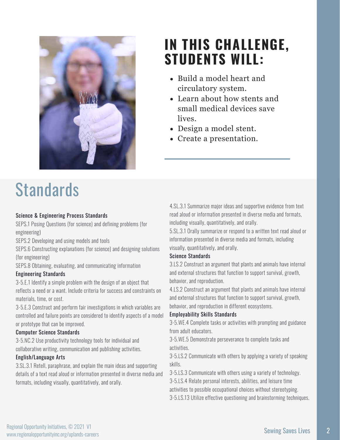

### **IN THIS CHALLENGE, STUDENTS WILL:**

- Build a model heart and circulatory system.
- Learn about how stents and small medical devices save lives.
- Design a model stent.
- Create a presentation.

## **Standards**

#### Science & Engineering Process Standards

SEPS.1 Posing Questions (for science) and defining problems (for engineering)

SEPS.2 Developing and using models and tools

SEPS.6 Constructing explanations (for science) and designing solutions (for engineering)

SEPS.8 Obtaining, evaluating, and communicating information

#### Engineering Standards

3-5.E.1 Identify a simple problem with the design of an object that reflects a need or a want. Include criteria for success and constraints on materials, time, or cost.

3-5.E.3 Construct and perform fair investigations in which variables are controlled and failure points are considered to identify aspects of a model or prototype that can be improved.

#### Computer Science Standards

3-5.NC.2 Use productivity technology tools for individual and collaborative writing, communication and publishing activities.

#### English/Language Arts

3.SL.3.1 Retell, paraphrase, and explain the main ideas and supporting details of a text read aloud or information presented in diverse media and formats, including visually, quantitatively, and orally.

4.SL.3.1 Summarize major ideas and supportive evidence from text read aloud or information presented in diverse media and formats, including visually, quantitatively, and orally.

5.SL.3.1 Orally summarize or respond to a written text read aloud or information presented in diverse media and formats, including visually, quantitatively, and orally.

#### Science Standards

3.LS.2 Construct an argument that plants and animals have internal and external structures that function to support survival, growth, behavior, and reproduction.

4.LS.2 Construct an argument that plants and animals have internal and external structures that function to support survival, growth, behavior, and reproduction in different ecosystems.

#### Employability Skills Standards

3-5.WE.4 Complete tasks or activities with prompting and guidance from adult educators.

3-5.WE.5 Demonstrate perseverance to complete tasks and activities.

3-5.LS.2 Communicate with others by applying a variety of speaking skills.

3-5.LS.3 Communicate with others using a variety of technology.

3-5.LS.4 Relate personal interests, abilities, and leisure time

activities to possible occupational choices without stereotyping.

3-5.LS.13 Utilize effective questioning and brainstorming techniques.

2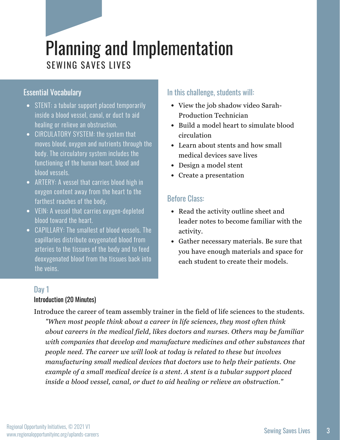## Planning and Implementation SEWING SAVES LIVES

#### Essential Vocabulary

- STENT: a tubular support placed temporarily inside a blood vessel, canal, or duct to aid healing or relieve an obstruction.
- CIRCULATORY SYSTEM: the system that moves blood, oxygen and nutrients through the body. The circulatory system includes the functioning of the human heart, blood and blood vessels.
- ARTERY: A vessel that carries blood high in oxygen content away from the heart to the farthest reaches of the body.
- VEIN: A vessel that carries oxygen-depleted blood toward the heart.
- CAPILLARY: The smallest of blood vessels. The capillaries distribute oxygenated blood from arteries to the tissues of the body and to feed deoxygenated blood from the tissues back into the veins.

#### In this challenge, students will:

- [View the job shadow video Sarah-](https://vimeo.com/330820820)Production Technician
- Build a model heart to simulate blood circulation
- Learn about stents and how small medical devices save lives
- Design a model stent
- Create a presentation

#### Before Class:

- Read the activity outline sheet and leader notes to become familiar with the activity.
- Gather necessary materials. Be sure that you have enough materials and space for each student to create their models.

#### Day 1 Introduction (20 Minutes)

Introduce the career of team assembly trainer in the field of life sciences to the students. *"When most people think about a career in life sciences, they most often think about careers in the medical field, likes doctors and nurses. Others may be familiar with companies that develop and manufacture medicines and other substances that people need. The career we will look at today is related to these but involves manufacturing small medical devices that doctors use to help their patients. One example of a small medical device is a stent. A stent is a tubular support placed*

*inside a blood vessel, canal, or duct to aid healing or relieve an obstruction."*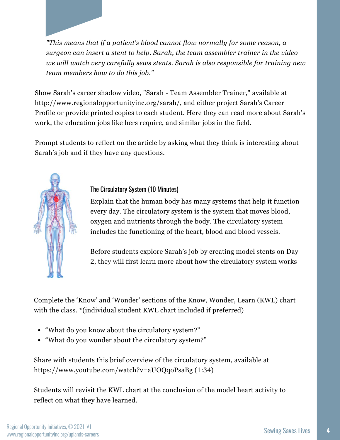*"This means that if a patient's blood cannot flow normally for some reason, a surgeon can insert a stent to help. Sarah, the team assembler trainer in the video we will watch very carefully sews stents. Sarah is also responsible for training new team members how to do this job."*

Show Sarah's career shadow video, "[Sarah - Team Assembler Trainer](http://www.regionalopportunityinc.org/sarah/)," available at http://www.regionalopportunityinc.org/sarah/, and either project Sarah's Career [Profile or provide printed copies to each student. Here they can read more about S](https://drive.google.com/file/d/1HEX54PCfcuXLsU-Cb99c4ZaEYMnmUKet/view?usp=sharing)arah's work, the education jobs like hers require, and similar jobs in the field.

Prompt students to reflect on the article by asking what they think is interesting about Sarah's job and if they have any questions.



#### The Circulatory System (10 Minutes)

Explain that the human body has many systems that help it function every day. The circulatory system is the system that moves blood, oxygen and nutrients through the body. The circulatory system includes the functioning of the heart, blood and blood vessels.

Before students explore Sarah's job by creating model stents on Day 2, they will first learn more about how the circulatory system works

Complete the 'Know' and 'Wonder' sections of the Know, Wonder, Learn (KWL) chart with the class. \*(individual student KWL chart included if preferred)

- "What do you know about the circulatory system?"
- "What do you wonder about the circulatory system?"

Share with students this brief overview of the circulatory system, available at https://www.youtube.com/watch?v=aUOQqoPsaBg (1:34)

Students will revisit the KWL chart at the conclusion of the model heart activity to reflect on what they have learned.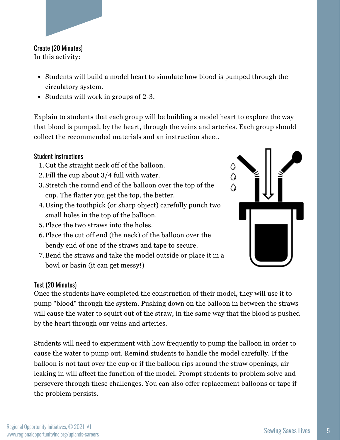#### Create (20 Minutes) In this activity:

- Students will build a model heart to simulate how blood is pumped through the circulatory system.
- Students will work in groups of 2-3.

Explain to students that each group will be building a model heart to explore the way that blood is pumped, by the heart, through the veins and arteries. Each group should collect the recommended materials and an instruction sheet.

#### Student Instructions

- 1. Cut the straight neck off of the balloon.
- Fill the cup about 3/4 full with water. 2.
- Stretch the round end of the balloon over the top of the 3. cup. The flatter you get the top, the better.
- Using the toothpick (or sharp object) carefully punch two 4. small holes in the top of the balloon.
- 5. Place the two straws into the holes.
- 6. Place the cut off end (the neck) of the balloon over the bendy end of one of the straws and tape to secure.
- 7. Bend the straws and take the model outside or place it in a bowl or basin (it can get messy!)



Once the students have completed the construction of their model, they will use it to pump "blood" through the system. Pushing down on the balloon in between the straws will cause the water to squirt out of the straw, in the same way that the blood is pushed by the heart through our veins and arteries.

Students will need to experiment with how frequently to pump the balloon in order to cause the water to pump out. Remind students to handle the model carefully. If the balloon is not taut over the cup or if the balloon rips around the straw openings, air leaking in will affect the function of the model. Prompt students to problem solve and persevere through these challenges. You can also offer replacement balloons or tape if the problem persists.

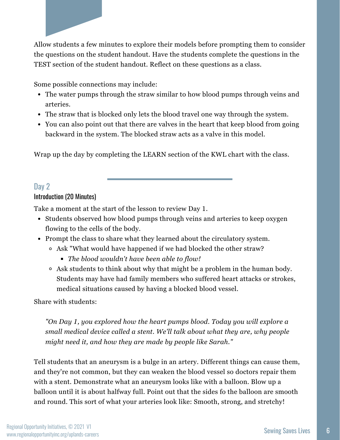Allow students a few minutes to explore their models before prompting them to consider the questions on the student handout. Have the students complete the questions in the TEST section of the student handout. Reflect on these questions as a class.

Some possible connections may include:

- The water pumps through the straw similar to how blood pumps through veins and arteries.
- The straw that is blocked only lets the blood travel one way through the system.
- You can also point out that there are valves in the heart that keep blood from going backward in the system. The blocked straw acts as a valve in this model.

Wrap up the day by completing the LEARN section of the KWL chart with the class.

#### Day 2

#### Introduction (20 Minutes)

Take a moment at the start of the lesson to review Day 1.

- Students observed how blood pumps through veins and arteries to keep oxygen flowing to the cells of the body.
- Prompt the class to share what they learned about the circulatory system.
	- Ask "What would have happened if we had blocked the other straw?
		- *The blood wouldn't have been able to flow!*
	- Ask students to think about why that might be a problem in the human body. Students may have had family members who suffered heart attacks or strokes, medical situations caused by having a blocked blood vessel.

Share with students:

*"On Day 1, you explored how the heart pumps blood. Today you will explore a small medical device called a stent. We'll talk about what they are, why people might need it, and how they are made by people like Sarah."*

Tell students that an aneurysm is a bulge in an artery. Different things can cause them, and they're not common, but they can weaken the blood vessel so doctors repair them with a stent. Demonstrate what an aneurysm looks like with a balloon. Blow up a balloon until it is about halfway full. Point out that the sides fo the balloon are smooth and round. This sort of what your arteries look like: Smooth, strong, and stretchy!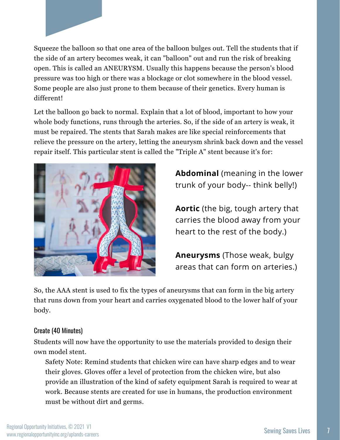Squeeze the balloon so that one area of the balloon bulges out. Tell the students that if the side of an artery becomes weak, it can "balloon" out and run the risk of breaking open. This is called an ANEURYSM. Usually this happens because the person's blood pressure was too high or there was a blockage or clot somewhere in the blood vessel. Some people are also just prone to them because of their genetics. Every human is different!

Let the balloon go back to normal. Explain that a lot of blood, important to how your whole body functions, runs through the arteries. So, if the side of an artery is weak, it must be repaired. The stents that Sarah makes are like special reinforcements that relieve the pressure on the artery, letting the aneurysm shrink back down and the vessel repair itself. This particular stent is called the "Triple A" stent because it's for:



**Abdominal** (meaning in the lower trunk of your body-- think belly!)

**Aortic** (the big, tough artery that carries the blood away from your heart to the rest of the body.)

**Aneurysms** (Those weak, bulgy areas that can form on arteries.)

So, the AAA stent is used to fix the types of aneurysms that can form in the big artery that runs down from your heart and carries oxygenated blood to the lower half of your body.

#### Create (40 Minutes)

Students will now have the opportunity to use the materials provided to design their own model stent.

Safety Note: Remind students that chicken wire can have sharp edges and to wear their gloves. Gloves offer a level of protection from the chicken wire, but also provide an illustration of the kind of safety equipment Sarah is required to wear at work. Because stents are created for use in humans, the production environment must be without dirt and germs.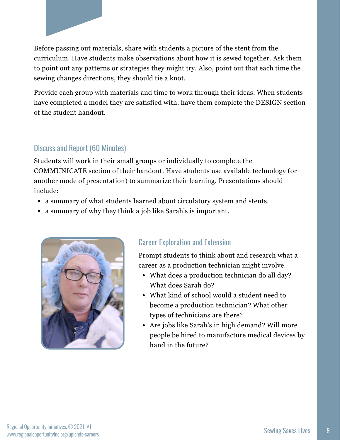

Before passing out materials, share with students a picture of the stent from the curriculum. Have students make observations about how it is sewed together. Ask them to point out any patterns or strategies they might try. Also, point out that each time the sewing changes directions, they should tie a knot.

Provide each group with materials and time to work through their ideas. When students have completed a model they are satisfied with, have them complete the DESIGN section of the student handout.

#### Discuss and Report (60 Minutes)

Students will work in their small groups or individually to complete the COMMUNICATE section of their handout. Have students use available technology (or another mode of presentation) to summarize their learning. Presentations should include:

- a summary of what students learned about circulatory system and stents.
- a summary of why they think a job like Sarah's is important.



#### Career Exploration and Extension

Prompt students to think about and research what a career as a production technician might involve.

- What does a production technician do all day? What does Sarah do?
- What kind of school would a student need to become a production technician? What other types of technicians are there?
- Are jobs like Sarah's in high demand? Will more people be hired to manufacture medical devices by hand in the future?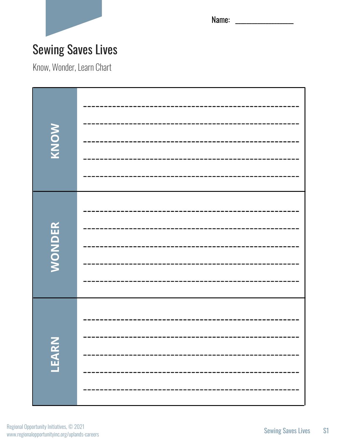

Name: \_\_\_\_\_\_\_\_\_\_\_\_\_\_\_\_\_\_\_\_\_

### Sewing Saves Lives

Know, Wonder, Learn Chart

| KNOW          |  |
|---------------|--|
|               |  |
| <b>WONDER</b> |  |
|               |  |
|               |  |
|               |  |
| LEARN         |  |
|               |  |
|               |  |
|               |  |
|               |  |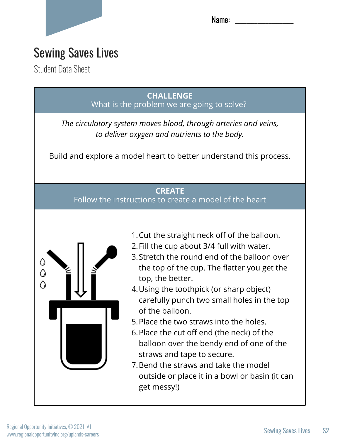

Name:

### Sewing Saves Lives

Student Data Sheet

**CHALLENGE** What is the problem we are going to solve?

*The circulatory system moves blood, through arteries and veins, to deliver oxygen and nutrients to the body.*

Build and explore a model heart to better understand this process.

#### **CREATE**

Follow the instructions to create a model of the heart



- 1. Cut the straight neck off of the balloon.
- 2. Fill the cup about 3/4 full with water.
- Stretch the round end of the balloon over 3. the top of the cup. The flatter you get the top, the better.
- Using the toothpick (or sharp object) 4. carefully punch two small holes in the top of the balloon.
- 5. Place the two straws into the holes.
- 6. Place the cut off end (the neck) of the balloon over the bendy end of one of the straws and tape to secure.
- 7. Bend the straws and take the model outside or place it in a bowl or basin (it can get messy!)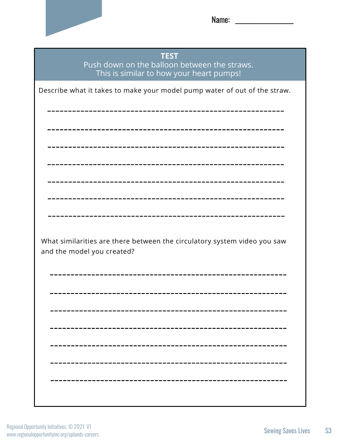

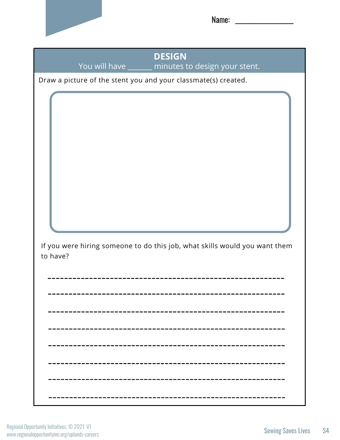

Name:

**DESIGN** You will have \_\_\_\_\_\_ minutes to design your stent.

Draw a picture of the stent you and your classmate(s) created.

If you were hiring someone to do this job, what skills would you want them to have?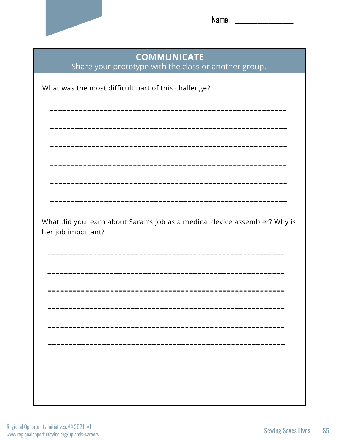

Name: \_\_\_\_\_\_\_\_\_\_\_\_\_\_\_\_\_\_\_\_\_

| <b>COMMUNICATE</b><br>Share your prototype with the class or another group.                      |  |
|--------------------------------------------------------------------------------------------------|--|
| What was the most difficult part of this challenge?                                              |  |
|                                                                                                  |  |
|                                                                                                  |  |
|                                                                                                  |  |
|                                                                                                  |  |
|                                                                                                  |  |
| What did you learn about Sarah's job as a medical device assembler? Why is<br>her job important? |  |
|                                                                                                  |  |
|                                                                                                  |  |
|                                                                                                  |  |
|                                                                                                  |  |
|                                                                                                  |  |
|                                                                                                  |  |
|                                                                                                  |  |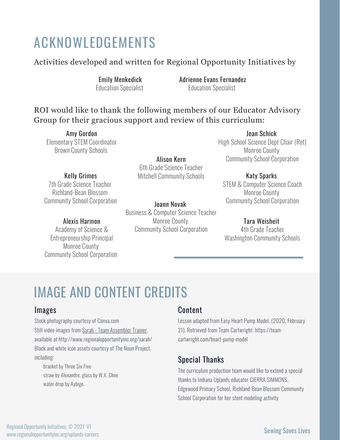### ACKNOWLEDGEMENTS

#### Activities developed and written for Regional Opportunity Initiatives by

Emily Menkedick Education Specialist Adrienne Evans Fernandez Education Specialist

#### ROI would like to thank the following members of our Educator Advisory Group for their gracious support and review of this curriculum:

Amy Gordon Elementary STEM Coordinator Brown County Schools

Kelly Grimes 7th Grade Science Teacher Richland-Bean Blossom Community School Corporation

#### Alexis Harmon

Academy of Science & Entrepreneurship Principal Monroe County Community School Corporation

Alison Kern 6th Grade Science Teacher Mitchell Community Schools

Joann Novak Business & Computer Science Teacher Monroe County Community School Corporation

Jean Schick High School Science Dept Chair (Ret) Monroe County Community School Corporation

#### Katy Sparks

STEM & Computer Science Coach Monroe County Community School Corporation

#### Tara Weisheit

4th Grade Teacher Washington Community Schools

### IMAGE AND CONTENT CREDITS

#### Images

Stock photography courtesy of Canva.com Still video images from [Sarah - Team Assembler Trainer,](http://www.regionalopportunityinc.org/sarah/) available at http://www.regionalopportunityinc.org/sarah/ Black and white icon assets courtesy of The Noun Project, including:

bracket by Three Six Five straw by Alexandre, glass by W.X. Chee water drop by Aybige.

#### Content

Lesson adapted from Easy Heart Pump Model. (2020, February 21). Retrieved from Team Cartwright: https://teamcartwright.com/heart-pump-model

#### Special Thanks

The curriculum production team would like to extend a special thanks to Indiana Uplands educator CIERRA SIMMONS, Edgewood Primary School, Richland-Bean Blossom Community School Corporation for her stent modeling activity